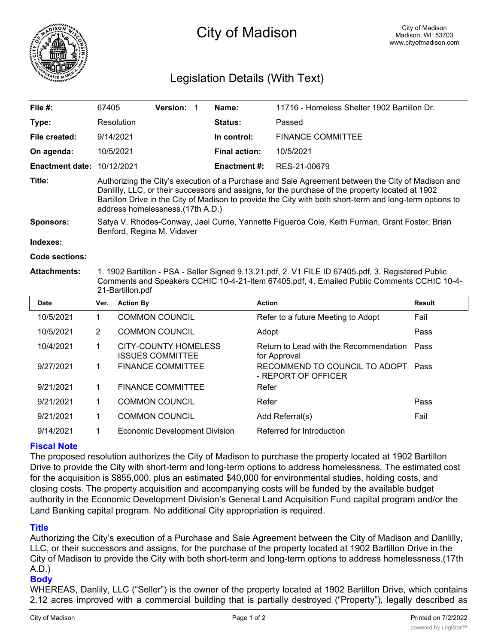

# City of Madison

# Legislation Details (With Text)

| File $#$ :             | 67405                                                                                                                                                                                                                                                                                                                                                 |                  | Version: 1                                             |  | Name:                | 11716 - Homeless Shelter 1902 Bartillon Dr.               |        |
|------------------------|-------------------------------------------------------------------------------------------------------------------------------------------------------------------------------------------------------------------------------------------------------------------------------------------------------------------------------------------------------|------------------|--------------------------------------------------------|--|----------------------|-----------------------------------------------------------|--------|
| Type:                  | Resolution                                                                                                                                                                                                                                                                                                                                            |                  |                                                        |  | Status:              | Passed                                                    |        |
| File created:          | 9/14/2021                                                                                                                                                                                                                                                                                                                                             |                  |                                                        |  | In control:          | <b>FINANCE COMMITTEE</b>                                  |        |
| On agenda:             | 10/5/2021                                                                                                                                                                                                                                                                                                                                             |                  |                                                        |  | <b>Final action:</b> | 10/5/2021                                                 |        |
| <b>Enactment date:</b> | 10/12/2021                                                                                                                                                                                                                                                                                                                                            |                  |                                                        |  | <b>Enactment#:</b>   | RES-21-00679                                              |        |
| Title:                 | Authorizing the City's execution of a Purchase and Sale Agreement between the City of Madison and<br>Danlilly, LLC, or their successors and assigns, for the purchase of the property located at 1902<br>Bartillon Drive in the City of Madison to provide the City with both short-term and long-term options to<br>address homelessness.(17th A.D.) |                  |                                                        |  |                      |                                                           |        |
| <b>Sponsors:</b>       | Satya V. Rhodes-Conway, Jael Currie, Yannette Figueroa Cole, Keith Furman, Grant Foster, Brian<br>Benford, Regina M. Vidaver                                                                                                                                                                                                                          |                  |                                                        |  |                      |                                                           |        |
| Indexes:               |                                                                                                                                                                                                                                                                                                                                                       |                  |                                                        |  |                      |                                                           |        |
| <b>Code sections:</b>  |                                                                                                                                                                                                                                                                                                                                                       |                  |                                                        |  |                      |                                                           |        |
| <b>Attachments:</b>    | 1. 1902 Bartillon - PSA - Seller Signed 9.13.21.pdf, 2. V1 FILE ID 67405.pdf, 3. Registered Public<br>Comments and Speakers CCHIC 10-4-21-Item 67405.pdf, 4. Emailed Public Comments CCHIC 10-4-<br>21-Bartillon.pdf                                                                                                                                  |                  |                                                        |  |                      |                                                           |        |
| <b>Date</b>            | Ver.                                                                                                                                                                                                                                                                                                                                                  | <b>Action By</b> |                                                        |  | <b>Action</b>        |                                                           | Result |
| 10/5/2021              | $\mathbf{1}$                                                                                                                                                                                                                                                                                                                                          |                  | <b>COMMON COUNCIL</b>                                  |  |                      | Refer to a future Meeting to Adopt                        | Fail   |
| 10/5/2021              | 2                                                                                                                                                                                                                                                                                                                                                     |                  | <b>COMMON COUNCIL</b>                                  |  | Adopt                |                                                           | Pass   |
| 10/4/2021              | 1                                                                                                                                                                                                                                                                                                                                                     |                  | <b>CITY-COUNTY HOMELESS</b><br><b>ISSUES COMMITTEE</b> |  |                      | Return to Lead with the Recommendation<br>for Approval    | Pass   |
| 9/27/2021              | 1.                                                                                                                                                                                                                                                                                                                                                    |                  | <b>FINANCE COMMITTEE</b>                               |  |                      | RECOMMEND TO COUNCIL TO ADOPT Pass<br>- REPORT OF OFFICER |        |
| 9/21/2021              | 1.                                                                                                                                                                                                                                                                                                                                                    |                  | <b>FINANCE COMMITTEE</b>                               |  | Refer                |                                                           |        |
| 9/21/2021              |                                                                                                                                                                                                                                                                                                                                                       |                  | COMMON COUNCIL                                         |  | Refer                |                                                           | Pass   |

9/14/2021 1 Economic Development Division Referred for Introduction

## **Fiscal Note**

The proposed resolution authorizes the City of Madison to purchase the property located at 1902 Bartillon Drive to provide the City with short-term and long-term options to address homelessness. The estimated cost for the acquisition is \$855,000, plus an estimated \$40,000 for environmental studies, holding costs, and closing costs. The property acquisition and accompanying costs will be funded by the available budget authority in the Economic Development Division's General Land Acquisition Fund capital program and/or the Land Banking capital program. No additional City appropriation is required.

9/21/2021 1 COMMON COUNCIL Add Referral(s) Fail

### **Title**

Authorizing the City's execution of a Purchase and Sale Agreement between the City of Madison and Danlilly, LLC, or their successors and assigns, for the purchase of the property located at 1902 Bartillon Drive in the City of Madison to provide the City with both short-term and long-term options to address homelessness.(17th A.D.)

### **Body**

WHEREAS, Danlily, LLC ("Seller") is the owner of the property located at 1902 Bartillon Drive, which contains 2.12 acres improved with a commercial building that is partially destroyed ("Property"), legally described as